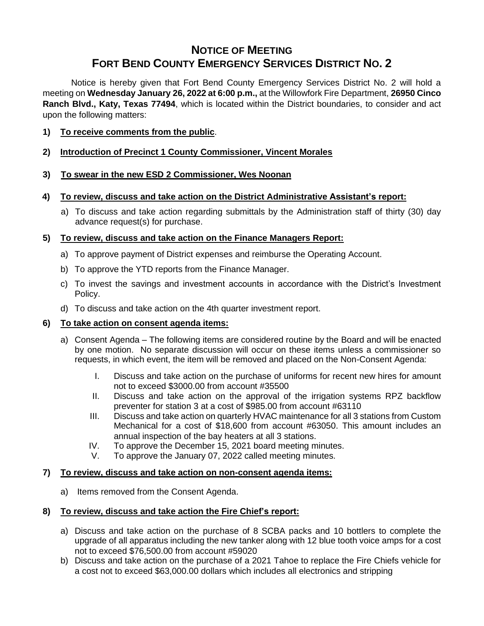# **NOTICE OF MEETING FORT BEND COUNTY EMERGENCY SERVICES DISTRICT NO. 2**

Notice is hereby given that Fort Bend County Emergency Services District No. 2 will hold a meeting on **Wednesday January 26, 2022 at 6:00 p.m.,** at the Willowfork Fire Department, **26950 Cinco Ranch Blvd., Katy, Texas 77494**, which is located within the District boundaries, to consider and act upon the following matters:

- **1) To receive comments from the public**.
- **2) Introduction of Precinct 1 County Commissioner, Vincent Morales**
- **3) To swear in the new ESD 2 Commissioner, Wes Noonan**
- **4) To review, discuss and take action on the District Administrative Assistant's report:**
	- a) To discuss and take action regarding submittals by the Administration staff of thirty (30) day advance request(s) for purchase.

## **5) To review, discuss and take action on the Finance Managers Report:**

- a) To approve payment of District expenses and reimburse the Operating Account.
- b) To approve the YTD reports from the Finance Manager.
- c) To invest the savings and investment accounts in accordance with the District's Investment Policy.
- d) To discuss and take action on the 4th quarter investment report.

### **6) To take action on consent agenda items:**

- a) Consent Agenda The following items are considered routine by the Board and will be enacted by one motion. No separate discussion will occur on these items unless a commissioner so requests, in which event, the item will be removed and placed on the Non-Consent Agenda:
	- I. Discuss and take action on the purchase of uniforms for recent new hires for amount not to exceed \$3000.00 from account #35500
	- II. Discuss and take action on the approval of the irrigation systems RPZ backflow preventer for station 3 at a cost of \$985.00 from account #63110
	- III. Discuss and take action on quarterly HVAC maintenance for all 3 stations from Custom Mechanical for a cost of \$18,600 from account #63050. This amount includes an annual inspection of the bay heaters at all 3 stations.
	- IV. To approve the December 15, 2021 board meeting minutes.
	- V. To approve the January 07, 2022 called meeting minutes.

### **7) To review, discuss and take action on non-consent agenda items:**

a) Items removed from the Consent Agenda.

### **8) To review, discuss and take action the Fire Chief's report:**

- a) Discuss and take action on the purchase of 8 SCBA packs and 10 bottlers to complete the upgrade of all apparatus including the new tanker along with 12 blue tooth voice amps for a cost not to exceed \$76,500.00 from account #59020
- b) Discuss and take action on the purchase of a 2021 Tahoe to replace the Fire Chiefs vehicle for a cost not to exceed \$63,000.00 dollars which includes all electronics and stripping